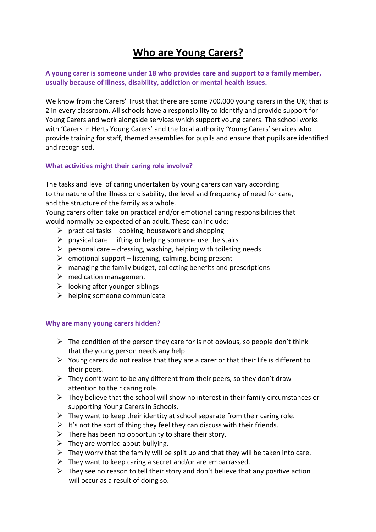## **Who are Young Carers?**

**A young carer is someone under 18 who provides care and support to a family member, usually because of illness, disability, addiction or mental health issues.** 

We know from the Carers' Trust that there are some 700,000 young carers in the UK; that is 2 in every classroom. All schools have a responsibility to identify and provide support for Young Carers and work alongside services which support young carers. The school works with 'Carers in Herts Young Carers' and the local authority 'Young Carers' services who provide training for staff, themed assemblies for pupils and ensure that pupils are identified and recognised.

## **What activities might their caring role involve?**

The tasks and level of caring undertaken by young carers can vary according to the nature of the illness or disability, the level and frequency of need for care, and the structure of the family as a whole.

Young carers often take on practical and/or emotional caring responsibilities that would normally be expected of an adult. These can include:

- $\triangleright$  practical tasks cooking, housework and shopping
- $\triangleright$  physical care lifting or helping someone use the stairs
- $\triangleright$  personal care dressing, washing, helping with toileting needs
- $\triangleright$  emotional support listening, calming, being present
- $\triangleright$  managing the family budget, collecting benefits and prescriptions
- $\triangleright$  medication management
- $\triangleright$  looking after younger siblings
- $\triangleright$  helping someone communicate

## **Why are many young carers hidden?**

- $\triangleright$  The condition of the person they care for is not obvious, so people don't think that the young person needs any help.
- $\triangleright$  Young carers do not realise that they are a carer or that their life is different to their peers.
- $\triangleright$  They don't want to be any different from their peers, so they don't draw attention to their caring role.
- $\triangleright$  They believe that the school will show no interest in their family circumstances or supporting Young Carers in Schools.
- $\triangleright$  They want to keep their identity at school separate from their caring role.
- $\triangleright$  It's not the sort of thing they feel they can discuss with their friends.
- $\triangleright$  There has been no opportunity to share their story.
- $\triangleright$  They are worried about bullying.
- $\triangleright$  They worry that the family will be split up and that they will be taken into care.
- $\triangleright$  They want to keep caring a secret and/or are embarrassed.
- $\triangleright$  They see no reason to tell their story and don't believe that any positive action will occur as a result of doing so.